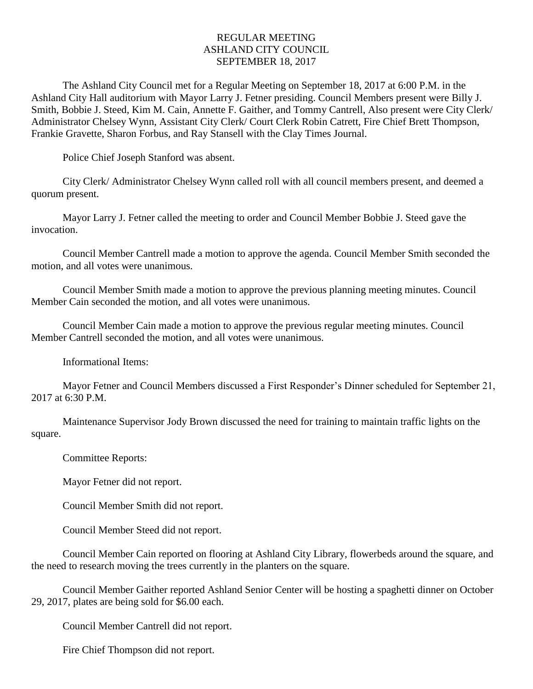## REGULAR MEETING ASHLAND CITY COUNCIL SEPTEMBER 18, 2017

The Ashland City Council met for a Regular Meeting on September 18, 2017 at 6:00 P.M. in the Ashland City Hall auditorium with Mayor Larry J. Fetner presiding. Council Members present were Billy J. Smith, Bobbie J. Steed, Kim M. Cain, Annette F. Gaither, and Tommy Cantrell, Also present were City Clerk/ Administrator Chelsey Wynn, Assistant City Clerk/ Court Clerk Robin Catrett, Fire Chief Brett Thompson, Frankie Gravette, Sharon Forbus, and Ray Stansell with the Clay Times Journal.

Police Chief Joseph Stanford was absent.

City Clerk/ Administrator Chelsey Wynn called roll with all council members present, and deemed a quorum present.

Mayor Larry J. Fetner called the meeting to order and Council Member Bobbie J. Steed gave the invocation.

Council Member Cantrell made a motion to approve the agenda. Council Member Smith seconded the motion, and all votes were unanimous.

Council Member Smith made a motion to approve the previous planning meeting minutes. Council Member Cain seconded the motion, and all votes were unanimous.

Council Member Cain made a motion to approve the previous regular meeting minutes. Council Member Cantrell seconded the motion, and all votes were unanimous.

Informational Items:

Mayor Fetner and Council Members discussed a First Responder's Dinner scheduled for September 21, 2017 at 6:30 P.M.

Maintenance Supervisor Jody Brown discussed the need for training to maintain traffic lights on the square.

Committee Reports:

Mayor Fetner did not report.

Council Member Smith did not report.

Council Member Steed did not report.

Council Member Cain reported on flooring at Ashland City Library, flowerbeds around the square, and the need to research moving the trees currently in the planters on the square.

Council Member Gaither reported Ashland Senior Center will be hosting a spaghetti dinner on October 29, 2017, plates are being sold for \$6.00 each.

Council Member Cantrell did not report.

Fire Chief Thompson did not report.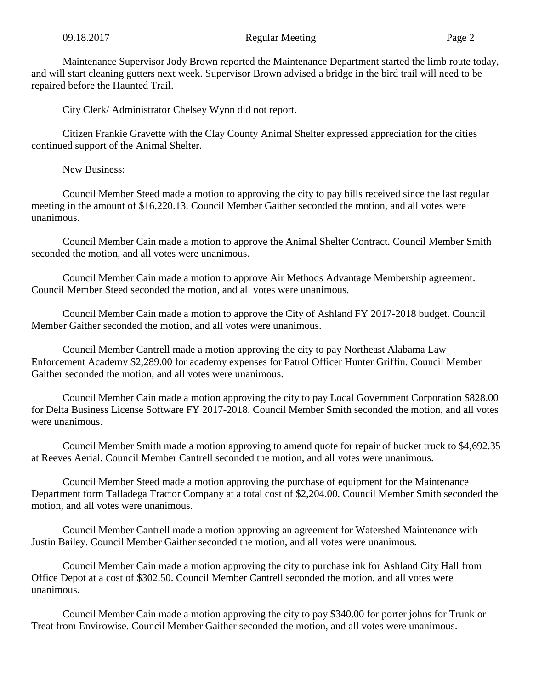Maintenance Supervisor Jody Brown reported the Maintenance Department started the limb route today, and will start cleaning gutters next week. Supervisor Brown advised a bridge in the bird trail will need to be repaired before the Haunted Trail.

City Clerk/ Administrator Chelsey Wynn did not report.

Citizen Frankie Gravette with the Clay County Animal Shelter expressed appreciation for the cities continued support of the Animal Shelter.

New Business:

Council Member Steed made a motion to approving the city to pay bills received since the last regular meeting in the amount of \$16,220.13. Council Member Gaither seconded the motion, and all votes were unanimous.

Council Member Cain made a motion to approve the Animal Shelter Contract. Council Member Smith seconded the motion, and all votes were unanimous.

Council Member Cain made a motion to approve Air Methods Advantage Membership agreement. Council Member Steed seconded the motion, and all votes were unanimous.

Council Member Cain made a motion to approve the City of Ashland FY 2017-2018 budget. Council Member Gaither seconded the motion, and all votes were unanimous.

Council Member Cantrell made a motion approving the city to pay Northeast Alabama Law Enforcement Academy \$2,289.00 for academy expenses for Patrol Officer Hunter Griffin. Council Member Gaither seconded the motion, and all votes were unanimous.

Council Member Cain made a motion approving the city to pay Local Government Corporation \$828.00 for Delta Business License Software FY 2017-2018. Council Member Smith seconded the motion, and all votes were unanimous.

Council Member Smith made a motion approving to amend quote for repair of bucket truck to \$4,692.35 at Reeves Aerial. Council Member Cantrell seconded the motion, and all votes were unanimous.

Council Member Steed made a motion approving the purchase of equipment for the Maintenance Department form Talladega Tractor Company at a total cost of \$2,204.00. Council Member Smith seconded the motion, and all votes were unanimous.

Council Member Cantrell made a motion approving an agreement for Watershed Maintenance with Justin Bailey. Council Member Gaither seconded the motion, and all votes were unanimous.

Council Member Cain made a motion approving the city to purchase ink for Ashland City Hall from Office Depot at a cost of \$302.50. Council Member Cantrell seconded the motion, and all votes were unanimous.

Council Member Cain made a motion approving the city to pay \$340.00 for porter johns for Trunk or Treat from Envirowise. Council Member Gaither seconded the motion, and all votes were unanimous.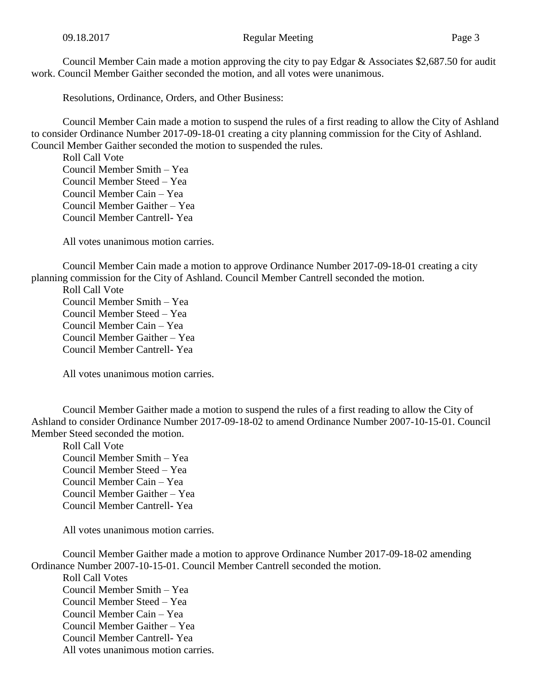Council Member Cain made a motion approving the city to pay Edgar & Associates \$2,687.50 for audit work. Council Member Gaither seconded the motion, and all votes were unanimous.

Resolutions, Ordinance, Orders, and Other Business:

Council Member Cain made a motion to suspend the rules of a first reading to allow the City of Ashland to consider Ordinance Number 2017-09-18-01 creating a city planning commission for the City of Ashland. Council Member Gaither seconded the motion to suspended the rules.

Roll Call Vote Council Member Smith – Yea Council Member Steed – Yea Council Member Cain – Yea Council Member Gaither – Yea Council Member Cantrell- Yea

All votes unanimous motion carries.

Council Member Cain made a motion to approve Ordinance Number 2017-09-18-01 creating a city planning commission for the City of Ashland. Council Member Cantrell seconded the motion.

Roll Call Vote Council Member Smith – Yea Council Member Steed – Yea Council Member Cain – Yea Council Member Gaither – Yea Council Member Cantrell- Yea

All votes unanimous motion carries.

Council Member Gaither made a motion to suspend the rules of a first reading to allow the City of Ashland to consider Ordinance Number 2017-09-18-02 to amend Ordinance Number 2007-10-15-01. Council Member Steed seconded the motion.

Roll Call Vote Council Member Smith – Yea Council Member Steed – Yea Council Member Cain – Yea Council Member Gaither – Yea Council Member Cantrell- Yea

All votes unanimous motion carries.

Council Member Gaither made a motion to approve Ordinance Number 2017-09-18-02 amending Ordinance Number 2007-10-15-01. Council Member Cantrell seconded the motion.

Roll Call Votes Council Member Smith – Yea Council Member Steed – Yea Council Member Cain – Yea Council Member Gaither – Yea Council Member Cantrell- Yea All votes unanimous motion carries.